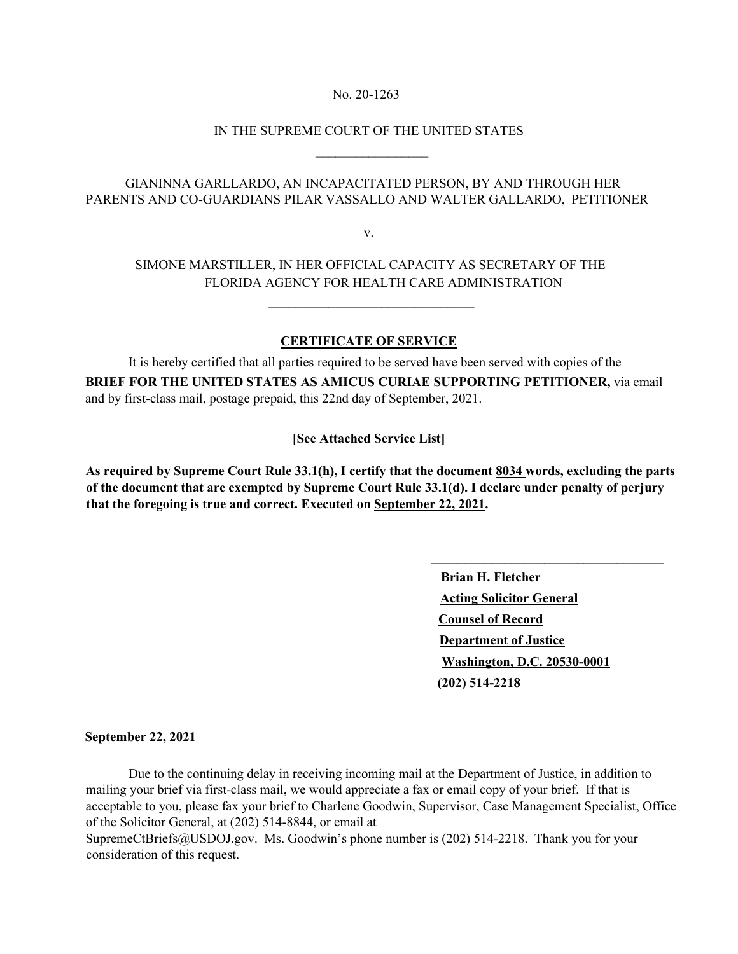### No. 20-1263

### IN THE SUPREME COURT OF THE UNITED STATES

 $\frac{1}{2}$  , and the set of the set of the set of the set of the set of the set of the set of the set of the set of the set of the set of the set of the set of the set of the set of the set of the set of the set of the set

 $\mathcal{L}_\text{max}$  and  $\mathcal{L}_\text{max}$  and  $\mathcal{L}_\text{max}$  are the set of  $\mathcal{L}_\text{max}$ 

### GIANINNA GARLLARDO, AN INCAPACITATED PERSON, BY AND THROUGH HER PARENTS AND CO-GUARDIANS PILAR VASSALLO AND WALTER GALLARDO, PETITIONER

v.

## SIMONE MARSTILLER, IN HER OFFICIAL CAPACITY AS SECRETARY OF THE FLORIDA AGENCY FOR HEALTH CARE ADMINISTRATION

### **CERTIFICATE OF SERVICE**

 It is hereby certified that all parties required to be served have been served with copies of the **BRIEF FOR THE UNITED STATES AS AMICUS CURIAE SUPPORTING PETITIONER,** via email and by first-class mail, postage prepaid, this 22nd day of September, 2021.

**[See Attached Service List]** 

**As required by Supreme Court Rule 33.1(h), I certify that the document 8034 words, excluding the parts of the document that are exempted by Supreme Court Rule 33.1(d). I declare under penalty of perjury that the foregoing is true and correct. Executed on September 22, 2021.** 

> **Brian H. Fletcher Acting Solicitor General Counsel of Record Department of Justice Washington, D.C. 20530-0001 (202) 514-2218**

\_\_\_\_\_\_\_\_\_\_\_\_\_\_\_\_\_\_\_\_\_\_\_\_\_\_\_\_\_\_\_\_\_\_\_

#### **September 22, 2021**

 Due to the continuing delay in receiving incoming mail at the Department of Justice, in addition to mailing your brief via first-class mail, we would appreciate a fax or email copy of your brief. If that is acceptable to you, please fax your brief to Charlene Goodwin, Supervisor, Case Management Specialist, Office of the Solicitor General, at (202) 514-8844, or email at

SupremeCtBriefs@USDOJ.gov. Ms. Goodwin's phone number is (202) 514-2218. Thank you for your consideration of this request.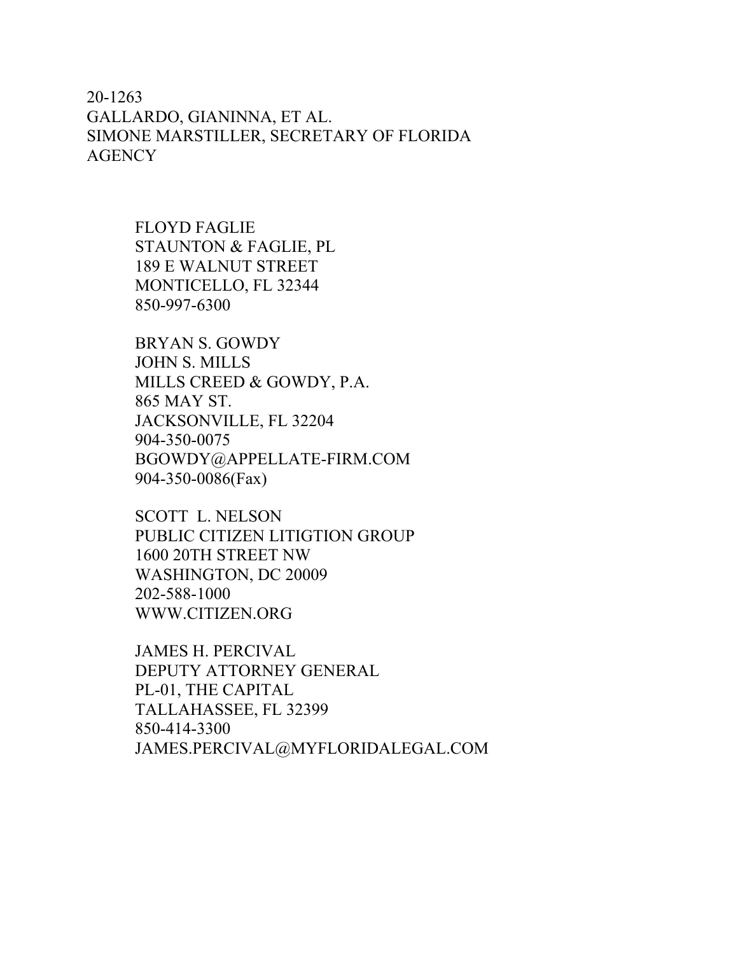# 20-1263 GALLARDO, GIANINNA, ET AL. SIMONE MARSTILLER, SECRETARY OF FLORIDA **AGENCY**

FLOYD FAGLIE STAUNTON & FAGLIE, PL 189 E WALNUT STREET MONTICELLO, FL 32344 850-997-6300

BRYAN S. GOWDY JOHN S. MILLS MILLS CREED & GOWDY, P.A. 865 MAY ST. JACKSONVILLE, FL 32204 904-350-0075 BGOWDY@APPELLATE-FIRM.COM 904-350-0086(Fax)

SCOTT L. NELSON PUBLIC CITIZEN LITIGTION GROUP 1600 20TH STREET NW WASHINGTON, DC 20009 202-588-1000 WWW.CITIZEN.ORG

JAMES H. PERCIVAL DEPUTY ATTORNEY GENERAL PL-01, THE CAPITAL TALLAHASSEE, FL 32399 850-414-3300 JAMES.PERCIVAL@MYFLORIDALEGAL.COM